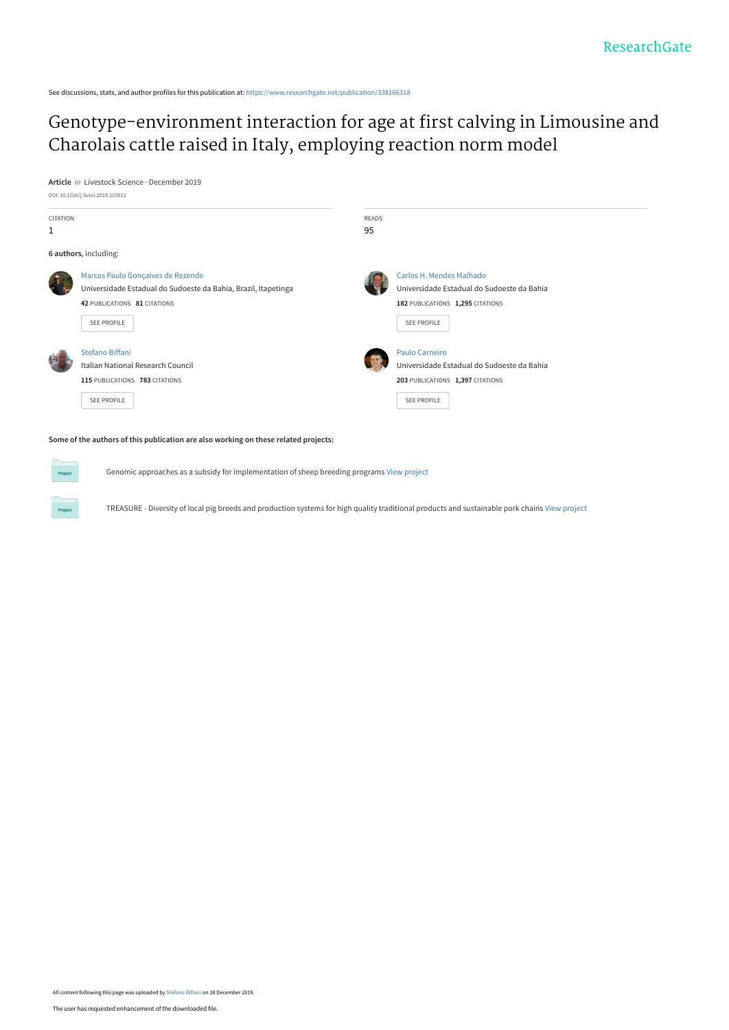See discussions, stats, and author profiles for this publication at: [https://www.researchgate.net/publication/338166318](https://www.researchgate.net/publication/338166318_Genotype-environment_interaction_for_age_at_first_calving_in_Limousine_and_Charolais_cattle_raised_in_Italy_employing_reaction_norm_model?enrichId=rgreq-43ab798a4f8cf037e5cd7edd2d5616c3-XXX&enrichSource=Y292ZXJQYWdlOzMzODE2NjMxODtBUzo4NDExOTI4NzA3NzI3MzZAMTU3NzU2NzQxNzA0Mg%3D%3D&el=1_x_2&_esc=publicationCoverPdf)

# [Genotype-environment interaction for age at first calving in Limousine and](https://www.researchgate.net/publication/338166318_Genotype-environment_interaction_for_age_at_first_calving_in_Limousine_and_Charolais_cattle_raised_in_Italy_employing_reaction_norm_model?enrichId=rgreq-43ab798a4f8cf037e5cd7edd2d5616c3-XXX&enrichSource=Y292ZXJQYWdlOzMzODE2NjMxODtBUzo4NDExOTI4NzA3NzI3MzZAMTU3NzU2NzQxNzA0Mg%3D%3D&el=1_x_3&_esc=publicationCoverPdf) Charolais cattle raised in Italy, employing reaction norm model

**Article** in Livestock Science · December 2019



Genomic approaches as a subsidy for implementation of sheep breeding programs [View project](https://www.researchgate.net/project/Genomic-approaches-as-a-subsidy-for-implementation-of-sheep-breeding-programs?enrichId=rgreq-43ab798a4f8cf037e5cd7edd2d5616c3-XXX&enrichSource=Y292ZXJQYWdlOzMzODE2NjMxODtBUzo4NDExOTI4NzA3NzI3MzZAMTU3NzU2NzQxNzA0Mg%3D%3D&el=1_x_9&_esc=publicationCoverPdf)

TREASURE - Diversity of local pig breeds and production systems for high quality traditional products and sustainable pork chains [View project](https://www.researchgate.net/project/TREASURE-Diversity-of-local-pig-breeds-and-production-systems-for-high-quality-traditional-products-and-sustainable-pork-chains-3?enrichId=rgreq-43ab798a4f8cf037e5cd7edd2d5616c3-XXX&enrichSource=Y292ZXJQYWdlOzMzODE2NjMxODtBUzo4NDExOTI4NzA3NzI3MzZAMTU3NzU2NzQxNzA0Mg%3D%3D&el=1_x_9&_esc=publicationCoverPdf)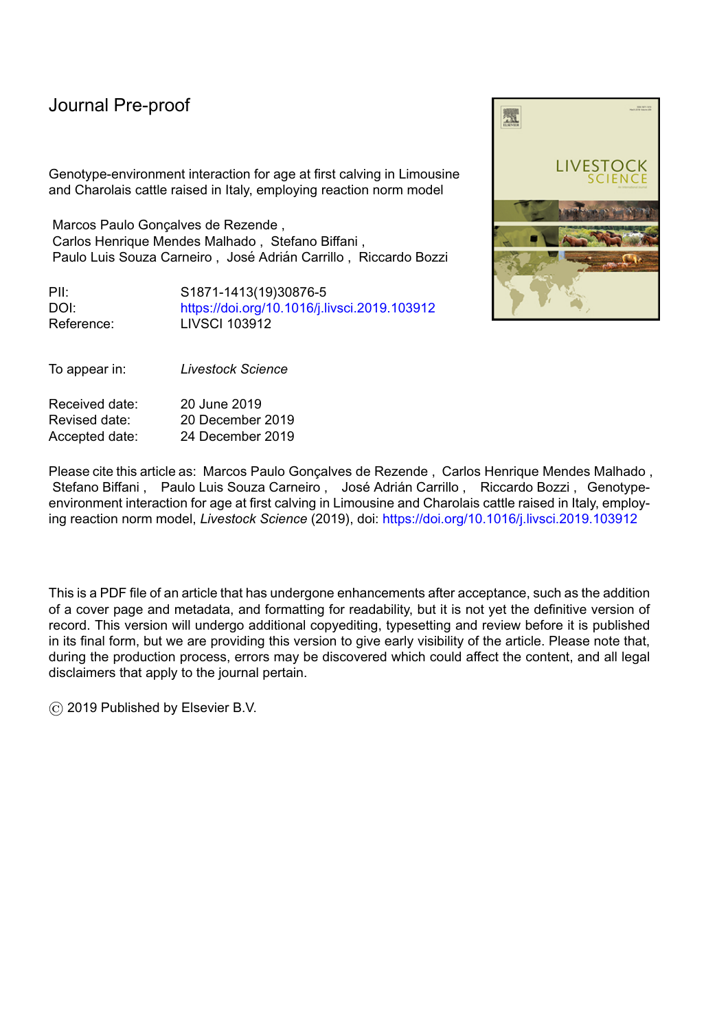Genotype-environment interaction for age at first calving in Limousine and Charolais cattle raised in Italy, employing reaction norm model

Marcos Paulo Goncalves de Rezende, Carlos Henrique Mendes Malhado , Stefano Biffani , Paulo Luis Souza Carneiro, José Adrián Carrillo, Riccardo Bozzi

PII: S1871-1413(19)30876-5 DOI: <https://doi.org/10.1016/j.livsci.2019.103912> Reference: LIVSCI 103912



| Received date: | 20 June 2019     |
|----------------|------------------|
| Revised date:  | 20 December 2019 |
| Accepted date: | 24 December 2019 |

Please cite this article as: Marcos Paulo Gonçalves de Rezende, Carlos Henrique Mendes Malhado, Stefano Biffani, Paulo Luis Souza Carneiro, José Adrián Carrillo, Riccardo Bozzi, Genotypeenvironment interaction for age at first calving in Limousine and Charolais cattle raised in Italy, employing reaction norm model, *Livestock Science* (2019), doi: <https://doi.org/10.1016/j.livsci.2019.103912>

This is a PDF file of an article that has undergone enhancements after acceptance, such as the addition of a cover page and metadata, and formatting for readability, but it is not yet the definitive version of record. This version will undergo additional copyediting, typesetting and review before it is published in its final form, but we are providing this version to give early visibility of the article. Please note that, during the production process, errors may be discovered which could affect the content, and all legal disclaimers that apply to the journal pertain.

© 2019 Published by Elsevier B.V.

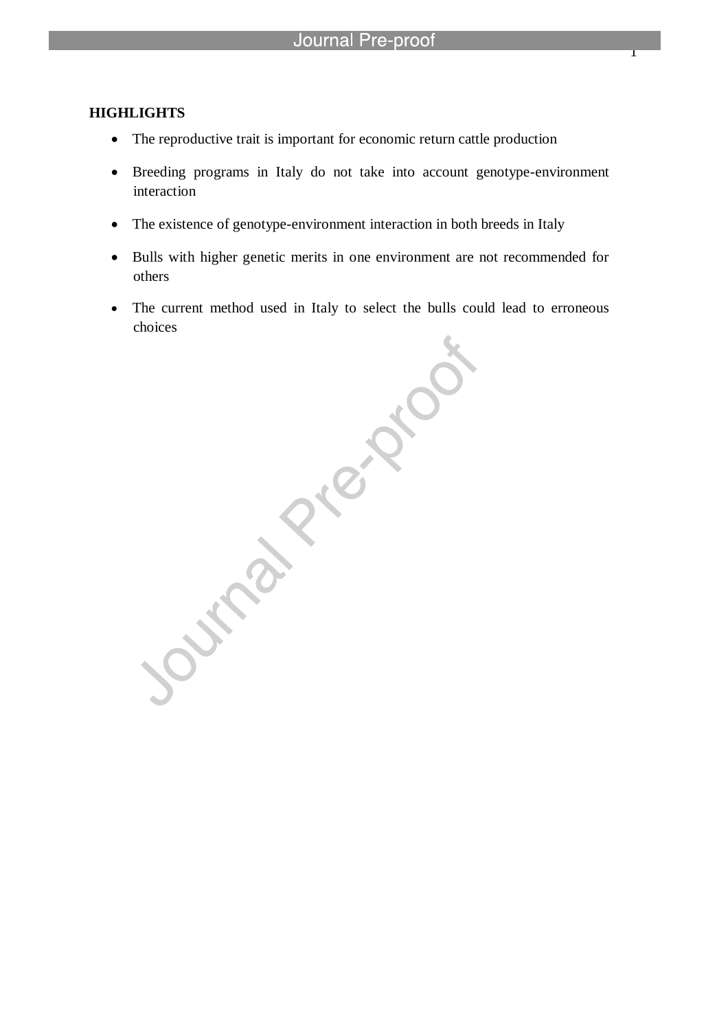## **HIGHLIGHTS**

The reproductive trait is important for economic return cattle production

l

- Breeding programs in Italy do not take into account genotype-environment interaction
- The existence of genotype-environment interaction in both breeds in Italy
- Bulls with higher genetic merits in one environment are not recommended for others
- choices

The current method used in Italy to select the bulls could lead to erroneous<br>choices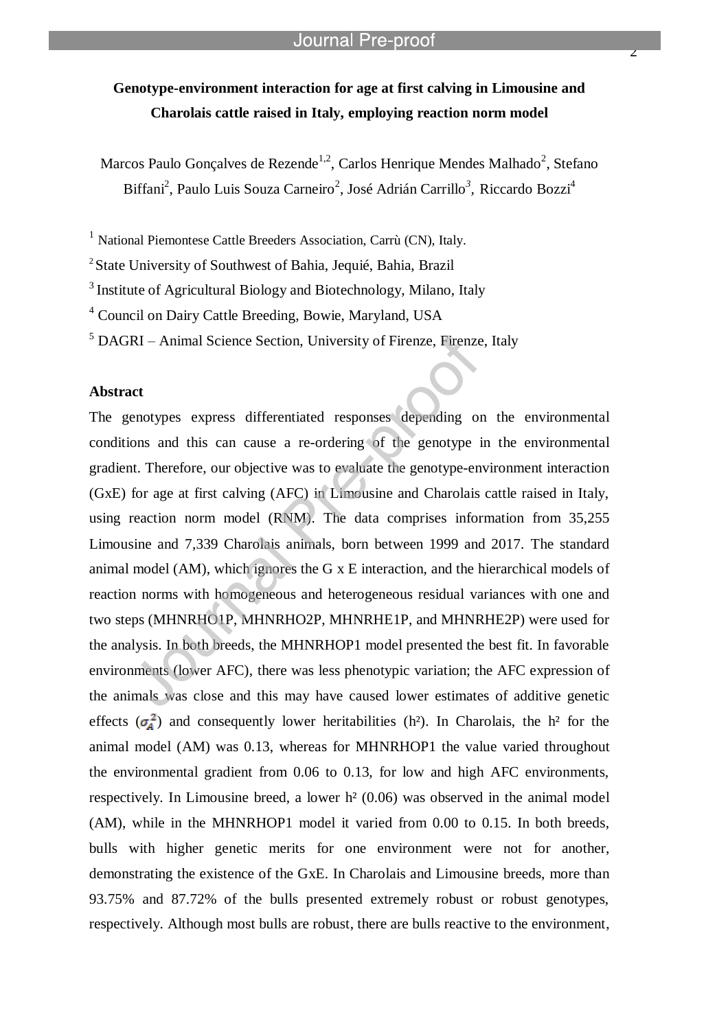# **Genotype-environment interaction for age at first calving in Limousine and Charolais cattle raised in Italy, employing reaction norm model**

Marcos Paulo Gonçalves de Rezende<sup>1,2</sup>, Carlos Henrique Mendes Malhado<sup>2</sup>, Stefano Biffani<sup>2</sup>, Paulo Luis Souza Carneiro<sup>2</sup>, José Adrián Carrillo<sup>3</sup>, Riccardo Bozzi<sup>4</sup>

<sup>1</sup> National Piemontese Cattle Breeders Association, Carrù (CN), Italy.

<sup>2</sup> State University of Southwest of Bahia, Jequié, Bahia, Brazil

l

<sup>3</sup> Institute of Agricultural Biology and Biotechnology, Milano, Italy

<sup>4</sup> Council on Dairy Cattle Breeding, Bowie, Maryland, USA

<sup>5</sup> DAGRI – Animal Science Section, University of Firenze, Firenze, Italy

## **Abstract**

The genotypes express differentiated responses depending on the environmental conditions and this can cause a re-ordering of the genotype in the environmental gradient. Therefore, our objective was to evaluate the genotype-environment interaction (GxE) for age at first calving (AFC) in Limousine and Charolais cattle raised in Italy, using reaction norm model (RNM). The data comprises information from 35,255 Limousine and 7,339 Charolais animals, born between 1999 and 2017. The standard animal model (AM), which ignores the G x E interaction, and the hierarchical models of reaction norms with homogeneous and heterogeneous residual variances with one and two steps (MHNRHO1P, MHNRHO2P, MHNRHE1P, and MHNRHE2P) were used for the analysis. In both breeds, the MHNRHOP1 model presented the best fit. In favorable environments (lower AFC), there was less phenotypic variation; the AFC expression of the animals was close and this may have caused lower estimates of additive genetic effects  $(\sigma_a^2)$  and consequently lower heritabilities (h<sup>2</sup>). In Charolais, the h<sup>2</sup> for the animal model (AM) was 0.13, whereas for MHNRHOP1 the value varied throughout the environmental gradient from 0.06 to 0.13, for low and high AFC environments, respectively. In Limousine breed, a lower h² (0.06) was observed in the animal model (AM), while in the MHNRHOP1 model it varied from 0.00 to 0.15. In both breeds, bulls with higher genetic merits for one environment were not for another, demonstrating the existence of the GxE. In Charolais and Limousine breeds, more than 93.75% and 87.72% of the bulls presented extremely robust or robust genotypes, respectively. Although most bulls are robust, there are bulls reactive to the environment,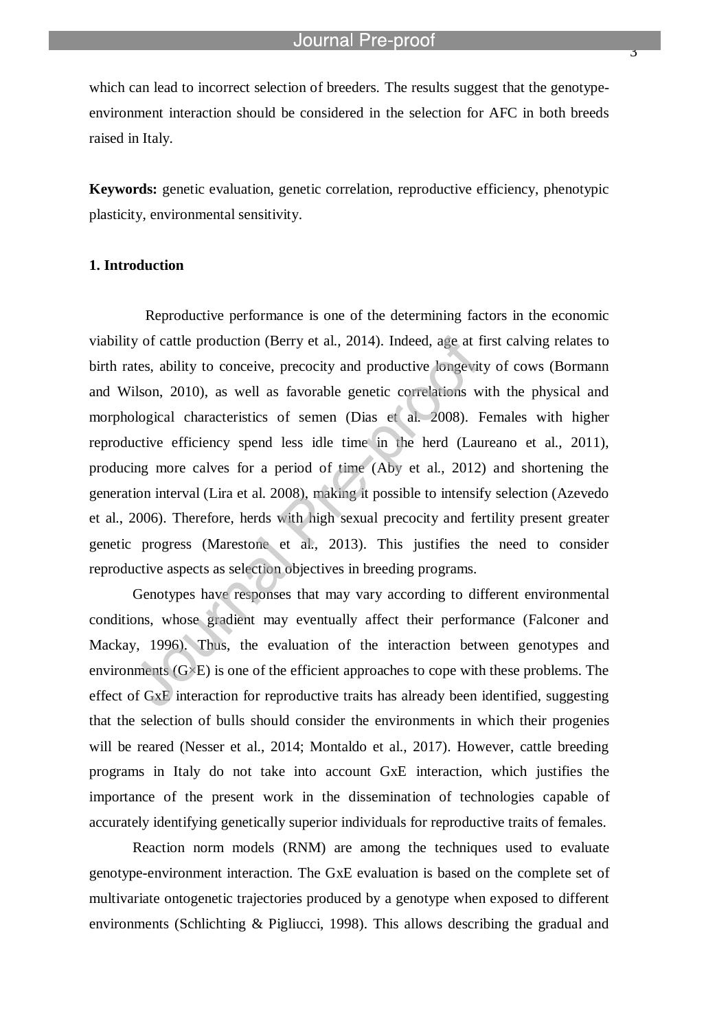which can lead to incorrect selection of breeders. The results suggest that the genotypeenvironment interaction should be considered in the selection for AFC in both breeds raised in Italy.

l

**Keywords:** genetic evaluation, genetic correlation, reproductive efficiency, phenotypic plasticity, environmental sensitivity.

## **1. Introduction**

Reproductive performance is one of the determining factors in the economic viability of cattle production (Berry et al., 2014). Indeed, age at first calving relates to birth rates, ability to conceive, precocity and productive longevity of cows (Bormann and Wilson, 2010), as well as favorable genetic correlations with the physical and morphological characteristics of semen (Dias et al. 2008). Females with higher reproductive efficiency spend less idle time in the herd (Laureano et al., 2011), producing more calves for a period of time (Aby et al., 2012) and shortening the generation interval (Lira et al. 2008), making it possible to intensify selection (Azevedo et al., 2006). Therefore, herds with high sexual precocity and fertility present greater genetic progress (Marestone et al., 2013). This justifies the need to consider reproductive aspects as selection objectives in breeding programs.

Genotypes have responses that may vary according to different environmental conditions, whose gradient may eventually affect their performance (Falconer and Mackay, 1996). Thus, the evaluation of the interaction between genotypes and environments  $(G \times E)$  is one of the efficient approaches to cope with these problems. The effect of GxE interaction for reproductive traits has already been identified, suggesting that the selection of bulls should consider the environments in which their progenies will be reared (Nesser et al., 2014; Montaldo et al., 2017). However, cattle breeding programs in Italy do not take into account GxE interaction, which justifies the importance of the present work in the dissemination of technologies capable of accurately identifying genetically superior individuals for reproductive traits of females.

Reaction norm models (RNM) are among the techniques used to evaluate genotype-environment interaction. The GxE evaluation is based on the complete set of multivariate ontogenetic trajectories produced by a genotype when exposed to different environments (Schlichting & Pigliucci, 1998). This allows describing the gradual and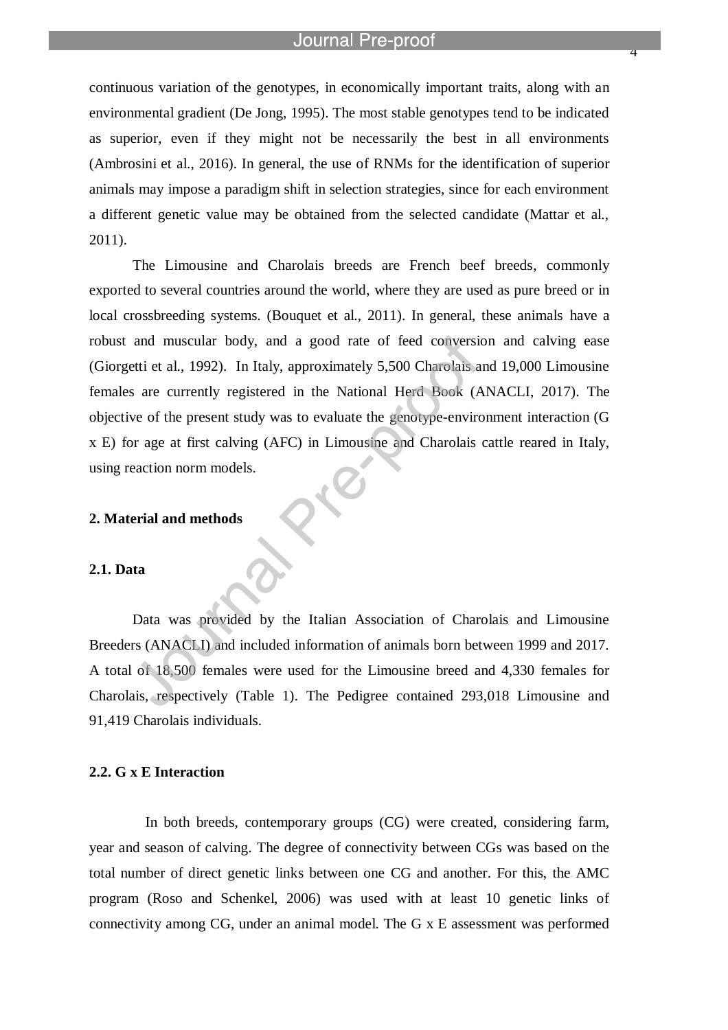l

4

continuous variation of the genotypes, in economically important traits, along with an environmental gradient (De Jong, 1995). The most stable genotypes tend to be indicated as superior, even if they might not be necessarily the best in all environments (Ambrosini et al., 2016). In general, the use of RNMs for the identification of superior animals may impose a paradigm shift in selection strategies, since for each environment a different genetic value may be obtained from the selected candidate (Mattar et al., 2011).

The Limousine and Charolais breeds are French beef breeds, commonly exported to several countries around the world, where they are used as pure breed or in local crossbreeding systems. (Bouquet et al., 2011). In general, these animals have a robust and muscular body, and a good rate of feed conversion and calving ease (Giorgetti et al., 1992). In Italy, approximately 5,500 Charolais and 19,000 Limousine females are currently registered in the National Herd Book (ANACLI, 2017). The objective of the present study was to evaluate the genotype-environment interaction (G x E) for age at first calving (AFC) in Limousine and Charolais cattle reared in Italy, using reaction norm models.

### **2. Material and methods**

# **2.1. Data**

Data was provided by the Italian Association of Charolais and Limousine Breeders (ANACLI) and included information of animals born between 1999 and 2017. A total of 18,500 females were used for the Limousine breed and 4,330 females for Charolais, respectively (Table 1). The Pedigree contained 293,018 Limousine and 91,419 Charolais individuals.

### **2.2. G x E Interaction**

In both breeds, contemporary groups (CG) were created, considering farm, year and season of calving. The degree of connectivity between CGs was based on the total number of direct genetic links between one CG and another. For this, the AMC program (Roso and Schenkel, 2006) was used with at least 10 genetic links of connectivity among CG, under an animal model. The G x E assessment was performed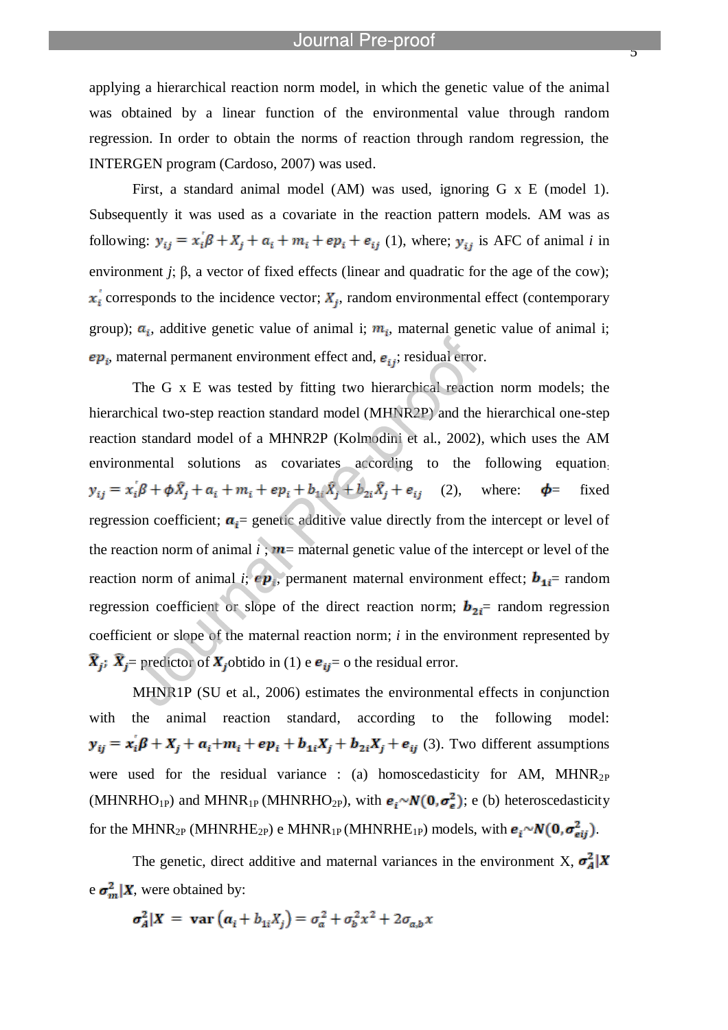$\overline{z}$ 

applying a hierarchical reaction norm model, in which the genetic value of the animal was obtained by a linear function of the environmental value through random regression. In order to obtain the norms of reaction through random regression, the INTERGEN program (Cardoso, 2007) was used.

l

First, a standard animal model (AM) was used, ignoring G x E (model 1). Subsequently it was used as a covariate in the reaction pattern models. AM was as following:  $y_{ij} = x_i \beta + X_i + a_i + m_i + ep_i + e_{ij}$  (1), where;  $y_{ij}$  is AFC of animal *i* in environment *j*;  $\beta$ , a vector of fixed effects (linear and quadratic for the age of the cow);  $x_i$  corresponds to the incidence vector;  $X_j$ , random environmental effect (contemporary group);  $a_i$ , additive genetic value of animal i;  $m_i$ , maternal genetic value of animal i;  $ep_i$ , maternal permanent environment effect and,  $e_{ij}$ ; residual error.

The G x E was tested by fitting two hierarchical reaction norm models; the hierarchical two-step reaction standard model (MHNR2P) and the hierarchical one-step reaction standard model of a MHNR2P (Kolmodini et al., 2002), which uses the AM environmental solutions as covariates according to the following equation:  $y_{ij} = x_i \beta + \phi \hat{X}_j + a_i + m_i + ep_i + b_{1i} \hat{X}_j + b_{2i} \hat{X}_j + e_{ij}$  (2), where:  $\phi$  = fixed regression coefficient;  $a_i$  = genetic additive value directly from the intercept or level of the reaction norm of animal  $i$ ;  $m$  = maternal genetic value of the intercept or level of the reaction norm of animal *i*;  $ep_i$ , permanent maternal environment effect;  $b_{1i}$ = random regression coefficient or slope of the direct reaction norm;  $\mathbf{b}_{2i}$  random regression coefficient or slope of the maternal reaction norm; *i* in the environment represented by  $\hat{\boldsymbol{X}}_i$ :  $\hat{\boldsymbol{X}}_i$  = predictor of  $\boldsymbol{X}_i$  obtido in (1) e  $\boldsymbol{e}_{ij}$  = 0 the residual error.

MHNR1P (SU et al., 2006) estimates the environmental effects in conjunction with the animal reaction standard, according to the following model:  $y_{ij} = x_i \beta + X_j + a_i + m_i + ep_i + b_{1i}X_j + b_{2i}X_j + e_{ij}$  (3). Two different assumptions were used for the residual variance : (a) homoscedasticity for AM,  $MHNR_{2P}$ (MHNRHO<sub>1P</sub>) and MHNR<sub>1P</sub> (MHNRHO<sub>2P</sub>), with  $\mathbf{e}_i \sim \mathbf{N}(\mathbf{0}, \sigma_e^2)$ ; e (b) heteroscedasticity for the MHNR<sub>2P</sub> (MHNRHE<sub>2P</sub>) e MHNR<sub>1P</sub> (MHNRHE<sub>1P</sub>) models, with  $e_i \sim N(0, \sigma_{eij}^2)$ .

The genetic, direct additive and maternal variances in the environment X,  $\sigma_A^2$  |X e  $\sigma_m^2 | X$ , were obtained by:

$$
\sigma_A^2|X = \mathbf{var}\left(a_i + b_{1i}X_j\right) = \sigma_a^2 + \sigma_b^2x^2 + 2\sigma_{a,b}x
$$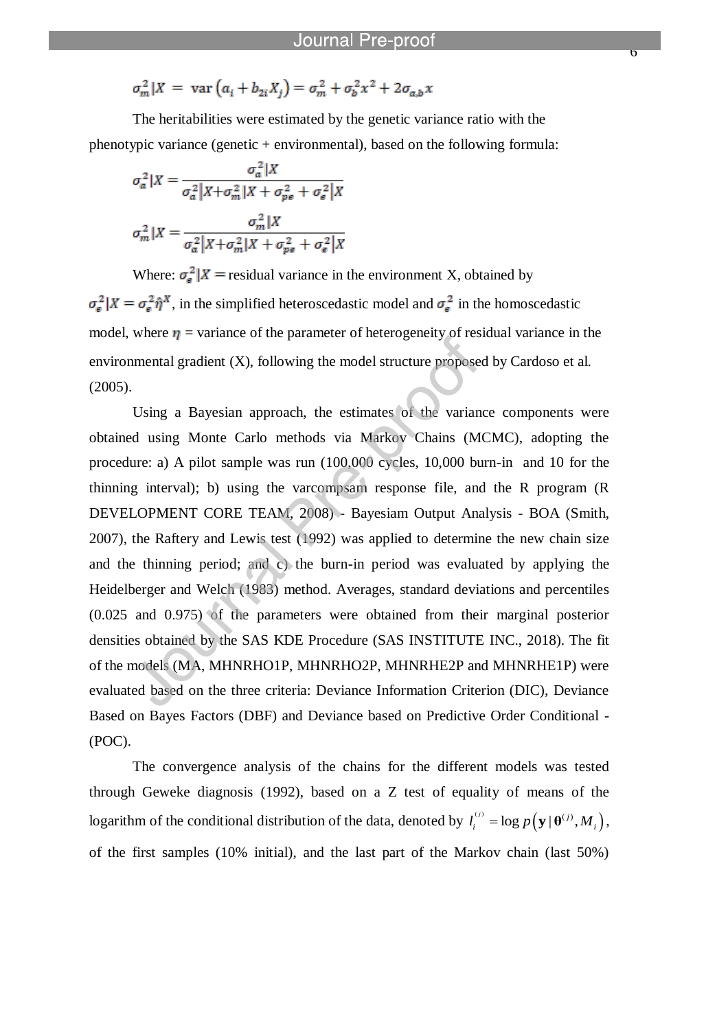$\overline{\mathbf{o}}$ 

$$
\sigma_m^2 |X = \text{var}\left(a_i + b_{2i}X_j\right) = \sigma_m^2 + \sigma_b^2 x^2 + 2\sigma_{a,b}x
$$

l

The heritabilities were estimated by the genetic variance ratio with the phenotypic variance (genetic + environmental), based on the following formula:

$$
\sigma_a^2 | X = \frac{\sigma_a^2 | X}{\sigma_a^2 | X + \sigma_m^2 | X + \sigma_{pe}^2 + \sigma_e^2 | X}
$$

$$
\sigma_m^2 | X = \frac{\sigma_m^2 | X}{\sigma_a^2 | X + \sigma_m^2 | X + \sigma_{pe}^2 + \sigma_e^2 | X}
$$

Where:  $\sigma_{\rm s}^2 |X|$  = residual variance in the environment X, obtained by  $\sigma_{\rm e}^2 |X| = \sigma_{\rm e}^2 \hat{\eta}^X$ , in the simplified heteroscedastic model and  $\sigma_{\rm e}^2$  in the homoscedastic model, where  $\eta$  = variance of the parameter of heterogeneity of residual variance in the environmental gradient (X), following the model structure proposed by Cardoso et al. (2005).

Using a Bayesian approach, the estimates of the variance components were obtained using Monte Carlo methods via Markov Chains (MCMC), adopting the procedure: a) A pilot sample was run (100,000 cycles, 10,000 burn-in and 10 for the thinning interval); b) using the varcompsam response file, and the R program (R DEVELOPMENT CORE TEAM, 2008) - Bayesiam Output Analysis - BOA (Smith, 2007), the Raftery and Lewis test (1992) was applied to determine the new chain size and the thinning period; and c) the burn-in period was evaluated by applying the Heidelberger and Welch (1983) method. Averages, standard deviations and percentiles (0.025 and 0.975) of the parameters were obtained from their marginal posterior densities obtained by the SAS KDE Procedure (SAS INSTITUTE INC., 2018). The fit of the models (MA, MHNRHO1P, MHNRHO2P, MHNRHE2P and MHNRHE1P) were evaluated based on the three criteria: Deviance Information Criterion (DIC), Deviance Based on Bayes Factors (DBF) and Deviance based on Predictive Order Conditional - (POC).

The convergence analysis of the chains for the different models was tested through Geweke diagnosis (1992), based on a Z test of equality of means of the logarithm of the conditional distribution of the data, denoted by  $l_i^{(j)} = \log p(\mathbf{y} | \mathbf{\theta}^{(j)}, M_i)$ , of the first samples (10% initial), and the last part of the Markov chain (last 50%)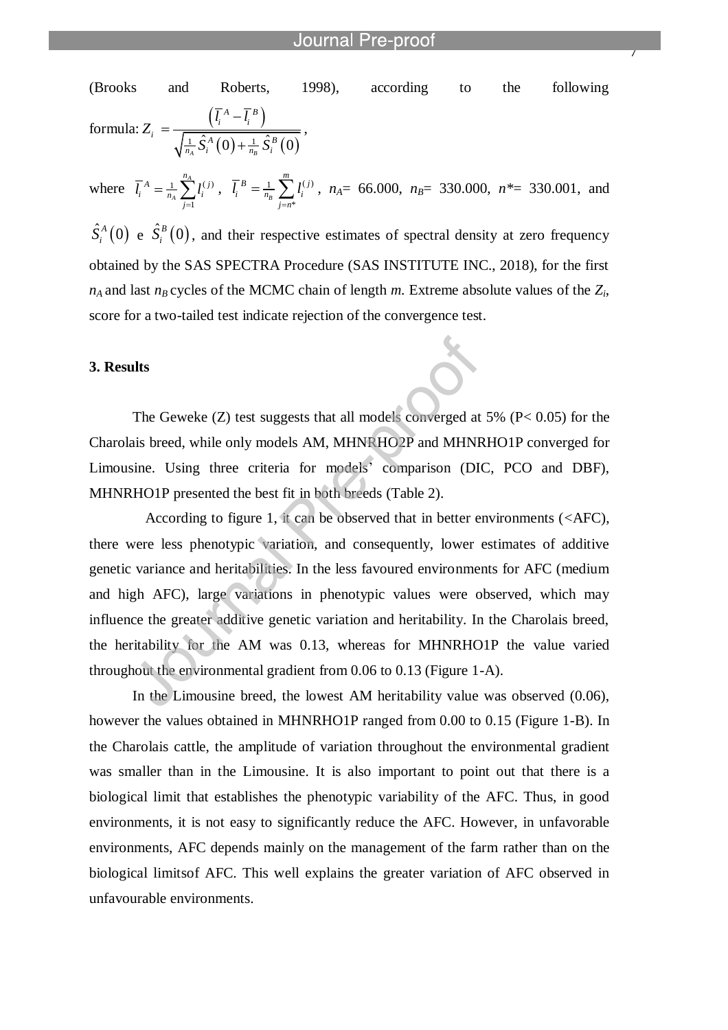(Brooks and Roberts, 1998), according to the following formula:  $\left(l_i^A - l_i^B\right)$  $\frac{1}{\lambda_{A}^{1}}\hat{S}_{i}^{A}(0)+\frac{1}{n_{B}}\hat{S}_{i}^{B}(0)$  $A \sim \overline{I}^B$  $\int_i^A -l_i$  $i = \frac{}{\sqrt{1 - \hat{S}^{A}(0) + 1} \cdot \hat{S}^{B}}$  $\frac{1}{n_{A}}S_{i}^{A}(0)+\frac{1}{n_{B}}S_{i}$  $\overline{l_i}^A - \overline{l}$  $Z_i = \frac{\sqrt{i^2 - i^2}}{\sqrt{\frac{1}{n_A} \hat{S}_i^A(0) + \frac{1}{n_B} \hat{S}_i^A(0)}}$  $\overline{a}$  $=$  $^{+}$ ,

l

where  $\overline{l}_i^A = \frac{1}{n} \sum_l l_i^{(j)}$ 1 *A A A* j  $\sum_{i=1}^{n_A}$  *j*(*j*  $i = \overline{n_A} \sum_{j=1}^{n} i_j$  $l_i^A = \frac{1}{n} \sum_l l$  $\bar{I}_{n_A} = \frac{1}{n_A} \sum_{j=1}^n l_i^{(j)} \; , \; \; \bar{l}_i^{~B} = \frac{1}{n_B} \sum_{j=n^*} l_i^{(j)} \; .$  $\sum_{j=n^*}$  $B = 1$   $\sum_{i=1}^{m} I(i)$  $i - n_R \n\perp i$ *j n*  $l_i^B = \frac{1}{n} \sum_l l$  $=\frac{1}{n_B}\sum_{j=n^*}l_i^{(j)}$ ,  $n_A$  = 66.000,  $n_B$  = 330.000,  $n^*=$  330.001, and

 $\hat{S}_i^A(0)$  $\hat{S}_i^A(0)$  e  $\hat{S}_i^B(0)$  $S_i^B(0)$ , and their respective estimates of spectral density at zero frequency obtained by the SAS SPECTRA Procedure (SAS INSTITUTE INC., 2018), for the first  $n_A$  and last  $n_B$  cycles of the MCMC chain of length  $m$ . Extreme absolute values of the  $Z_i$ , score for a two-tailed test indicate rejection of the convergence test.

#### **3. Results**

The Geweke  $(Z)$  test suggests that all models converged at 5%  $(P< 0.05)$  for the Charolais breed, while only models AM, MHNRHO2P and MHNRHO1P converged for Limousine. Using three criteria for models' comparison (DIC, PCO and DBF), MHNRHO1P presented the best fit in both breeds (Table 2).

According to figure 1, it can be observed that in better environments (<AFC), there were less phenotypic variation, and consequently, lower estimates of additive genetic variance and heritabilities. In the less favoured environments for AFC (medium and high AFC), large variations in phenotypic values were observed, which may influence the greater additive genetic variation and heritability. In the Charolais breed, the heritability for the AM was 0.13, whereas for MHNRHO1P the value varied throughout the environmental gradient from 0.06 to 0.13 (Figure 1-A).

In the Limousine breed, the lowest AM heritability value was observed (0.06), however the values obtained in MHNRHO1P ranged from 0.00 to 0.15 (Figure 1-B). In the Charolais cattle, the amplitude of variation throughout the environmental gradient was smaller than in the Limousine. It is also important to point out that there is a biological limit that establishes the phenotypic variability of the AFC. Thus, in good environments, it is not easy to significantly reduce the AFC. However, in unfavorable environments, AFC depends mainly on the management of the farm rather than on the biological limitsof AFC. This well explains the greater variation of AFC observed in unfavourable environments.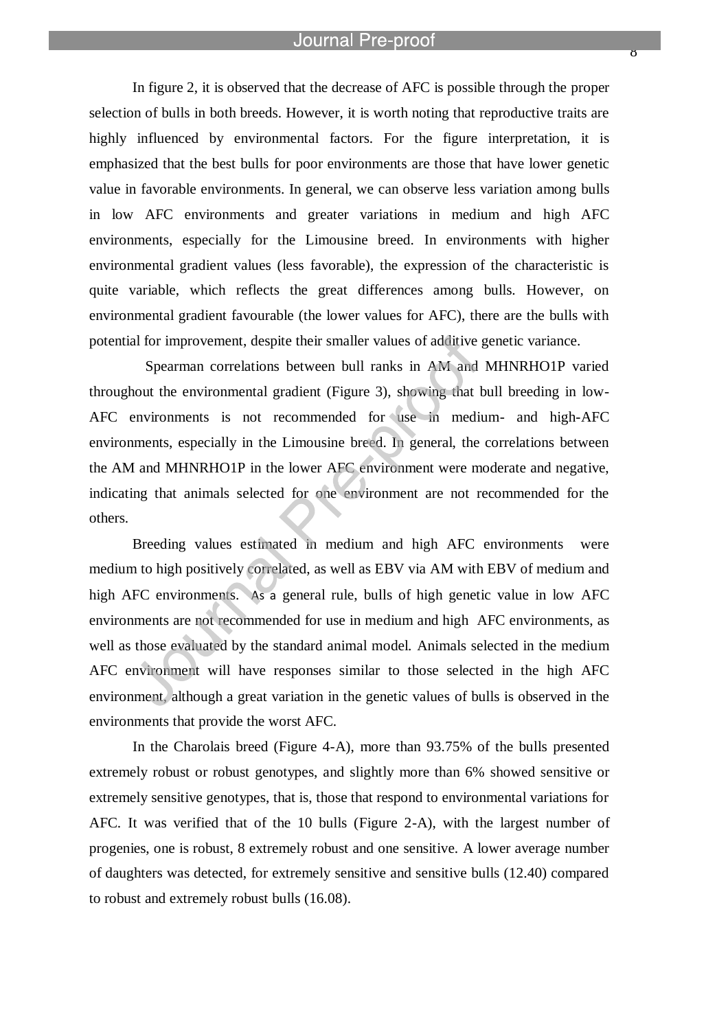l

 $\delta$ 

In figure 2, it is observed that the decrease of AFC is possible through the proper selection of bulls in both breeds. However, it is worth noting that reproductive traits are highly influenced by environmental factors. For the figure interpretation, it is emphasized that the best bulls for poor environments are those that have lower genetic value in favorable environments. In general, we can observe less variation among bulls in low AFC environments and greater variations in medium and high AFC environments, especially for the Limousine breed. In environments with higher environmental gradient values (less favorable), the expression of the characteristic is quite variable, which reflects the great differences among bulls. However, on environmental gradient favourable (the lower values for AFC), there are the bulls with potential for improvement, despite their smaller values of additive genetic variance.

Spearman correlations between bull ranks in AM and MHNRHO1P varied throughout the environmental gradient (Figure 3), showing that bull breeding in low-AFC environments is not recommended for use in medium- and high-AFC environments, especially in the Limousine breed. In general, the correlations between the AM and MHNRHO1P in the lower AFC environment were moderate and negative, indicating that animals selected for one environment are not recommended for the others.

Breeding values estimated in medium and high AFC environments were medium to high positively correlated, as well as EBV via AM with EBV of medium and high AFC environments. As a general rule, bulls of high genetic value in low AFC environments are not recommended for use in medium and high AFC environments, as well as those evaluated by the standard animal model. Animals selected in the medium AFC environment will have responses similar to those selected in the high AFC environment, although a great variation in the genetic values of bulls is observed in the environments that provide the worst AFC.

In the Charolais breed (Figure 4-A), more than 93.75% of the bulls presented extremely robust or robust genotypes, and slightly more than 6% showed sensitive or extremely sensitive genotypes, that is, those that respond to environmental variations for AFC. It was verified that of the 10 bulls (Figure 2-A), with the largest number of progenies, one is robust, 8 extremely robust and one sensitive. A lower average number of daughters was detected, for extremely sensitive and sensitive bulls (12.40) compared to robust and extremely robust bulls (16.08).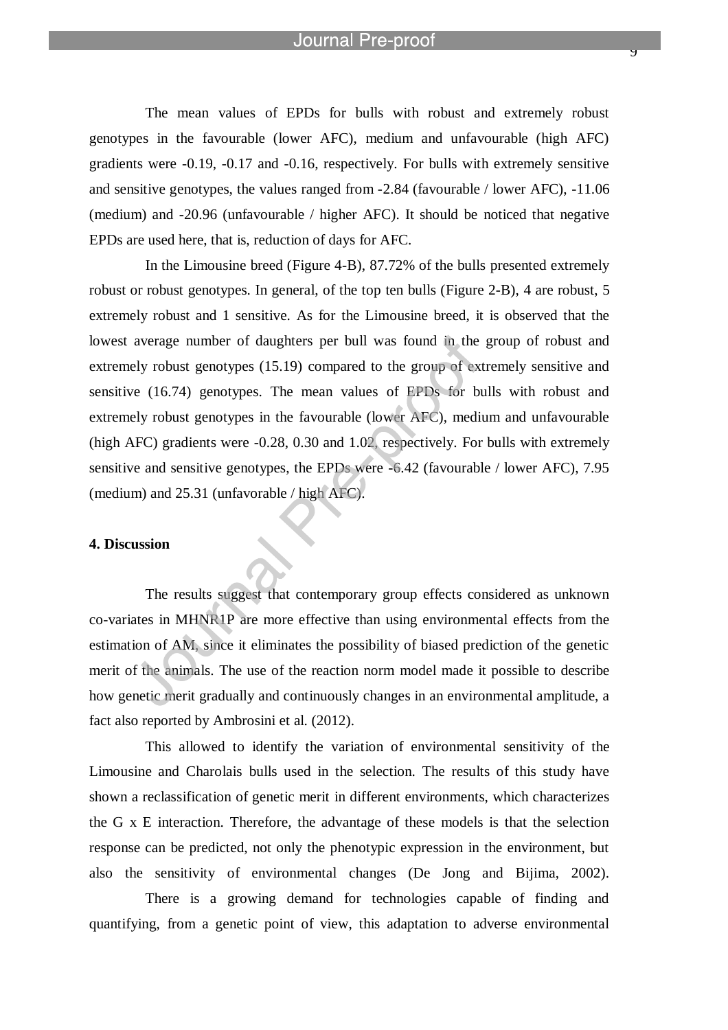y

The mean values of EPDs for bulls with robust and extremely robust genotypes in the favourable (lower AFC), medium and unfavourable (high AFC) gradients were -0.19, -0.17 and -0.16, respectively. For bulls with extremely sensitive and sensitive genotypes, the values ranged from -2.84 (favourable / lower AFC), -11.06 (medium) and -20.96 (unfavourable / higher AFC). It should be noticed that negative EPDs are used here, that is, reduction of days for AFC.

In the Limousine breed (Figure 4-B), 87.72% of the bulls presented extremely robust or robust genotypes. In general, of the top ten bulls (Figure 2-B), 4 are robust, 5 extremely robust and 1 sensitive. As for the Limousine breed, it is observed that the lowest average number of daughters per bull was found in the group of robust and extremely robust genotypes (15.19) compared to the group of extremely sensitive and sensitive (16.74) genotypes. The mean values of EPDs for bulls with robust and extremely robust genotypes in the favourable (lower AFC), medium and unfavourable (high AFC) gradients were -0.28, 0.30 and 1.02, respectively. For bulls with extremely sensitive and sensitive genotypes, the EPDs were -6.42 (favourable / lower AFC), 7.95 (medium) and 25.31 (unfavorable / high AFC).

# **4. Discussion**

The results suggest that contemporary group effects considered as unknown co-variates in MHNR1P are more effective than using environmental effects from the estimation of AM, since it eliminates the possibility of biased prediction of the genetic merit of the animals. The use of the reaction norm model made it possible to describe how genetic merit gradually and continuously changes in an environmental amplitude, a fact also reported by Ambrosini et al. (2012).

This allowed to identify the variation of environmental sensitivity of the Limousine and Charolais bulls used in the selection. The results of this study have shown a reclassification of genetic merit in different environments, which characterizes the G x E interaction. Therefore, the advantage of these models is that the selection response can be predicted, not only the phenotypic expression in the environment, but also the sensitivity of environmental changes (De Jong and Bijima, 2002).

There is a growing demand for technologies capable of finding and quantifying, from a genetic point of view, this adaptation to adverse environmental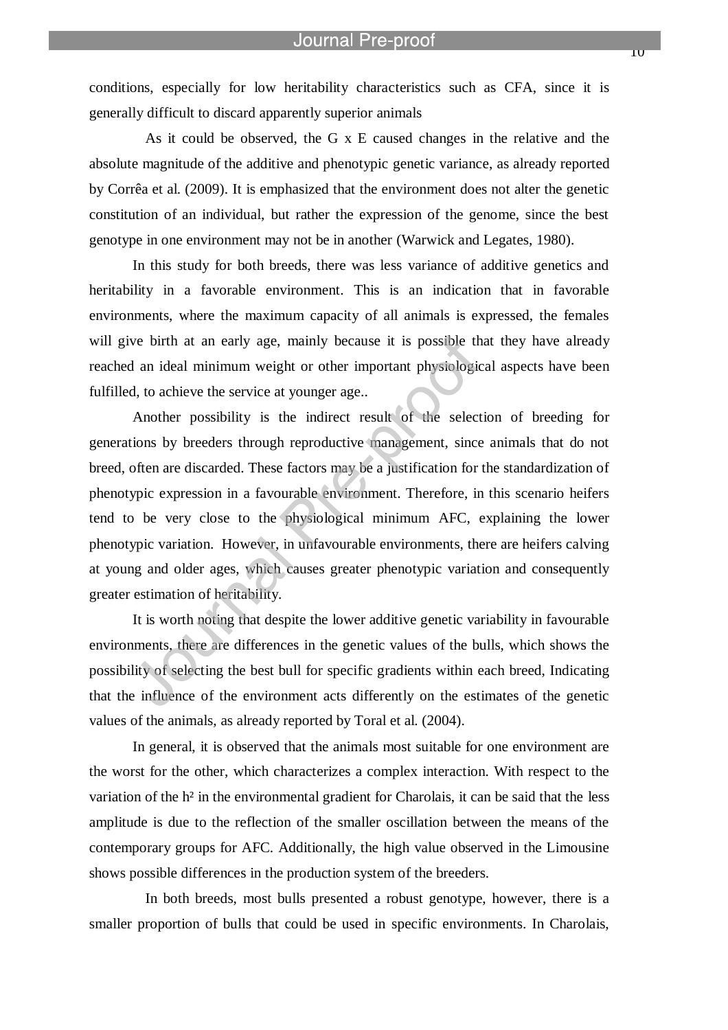conditions, especially for low heritability characteristics such as CFA, since it is generally difficult to discard apparently superior animals

l

As it could be observed, the G x E caused changes in the relative and the absolute magnitude of the additive and phenotypic genetic variance, as already reported by Corrêa et al. (2009). It is emphasized that the environment does not alter the genetic constitution of an individual, but rather the expression of the genome, since the best genotype in one environment may not be in another (Warwick and Legates, 1980).

In this study for both breeds, there was less variance of additive genetics and heritability in a favorable environment. This is an indication that in favorable environments, where the maximum capacity of all animals is expressed, the females will give birth at an early age, mainly because it is possible that they have already reached an ideal minimum weight or other important physiological aspects have been fulfilled, to achieve the service at younger age..

Another possibility is the indirect result of the selection of breeding for generations by breeders through reproductive management, since animals that do not breed, often are discarded. These factors may be a justification for the standardization of phenotypic expression in a favourable environment. Therefore, in this scenario heifers tend to be very close to the physiological minimum AFC, explaining the lower phenotypic variation. However, in unfavourable environments, there are heifers calving at young and older ages, which causes greater phenotypic variation and consequently greater estimation of heritability.

It is worth noting that despite the lower additive genetic variability in favourable environments, there are differences in the genetic values of the bulls, which shows the possibility of selecting the best bull for specific gradients within each breed, Indicating that the influence of the environment acts differently on the estimates of the genetic values of the animals, as already reported by Toral et al. (2004).

In general, it is observed that the animals most suitable for one environment are the worst for the other, which characterizes a complex interaction. With respect to the variation of the h<sup>2</sup> in the environmental gradient for Charolais, it can be said that the less amplitude is due to the reflection of the smaller oscillation between the means of the contemporary groups for AFC. Additionally, the high value observed in the Limousine shows possible differences in the production system of the breeders.

In both breeds, most bulls presented a robust genotype, however, there is a smaller proportion of bulls that could be used in specific environments. In Charolais,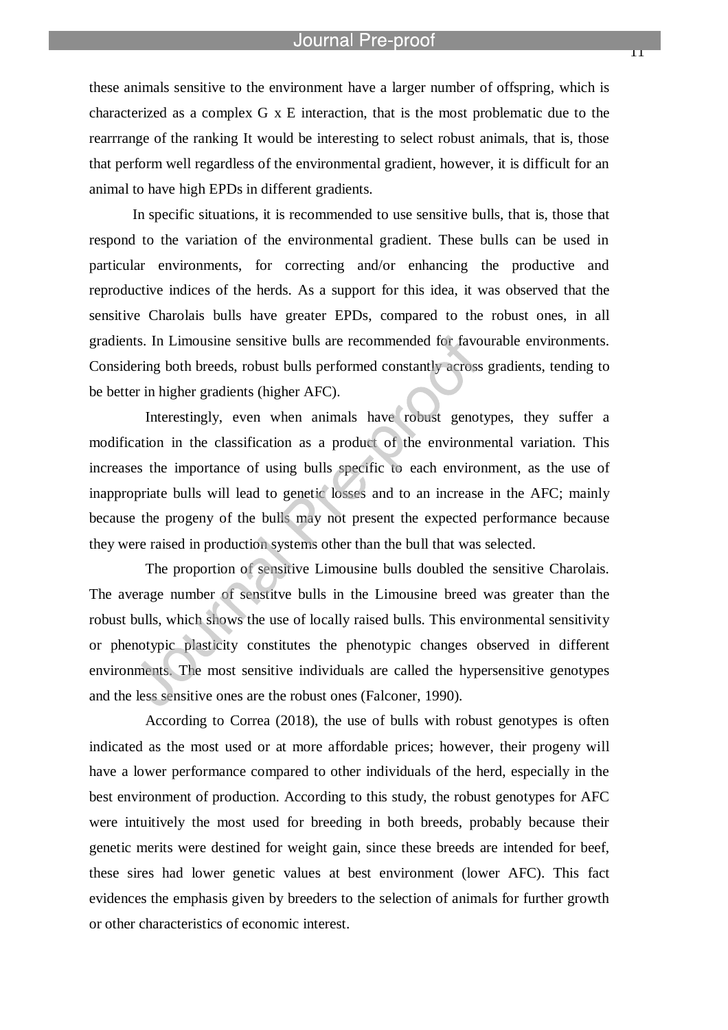these animals sensitive to the environment have a larger number of offspring, which is characterized as a complex G x E interaction, that is the most problematic due to the rearrrange of the ranking It would be interesting to select robust animals, that is, those that perform well regardless of the environmental gradient, however, it is difficult for an animal to have high EPDs in different gradients.

In specific situations, it is recommended to use sensitive bulls, that is, those that respond to the variation of the environmental gradient. These bulls can be used in particular environments, for correcting and/or enhancing the productive and reproductive indices of the herds. As a support for this idea, it was observed that the sensitive Charolais bulls have greater EPDs, compared to the robust ones, in all gradients. In Limousine sensitive bulls are recommended for favourable environments. Considering both breeds, robust bulls performed constantly across gradients, tending to be better in higher gradients (higher AFC).

Interestingly, even when animals have robust genotypes, they suffer a modification in the classification as a product of the environmental variation. This increases the importance of using bulls specific to each environment, as the use of inappropriate bulls will lead to genetic losses and to an increase in the AFC; mainly because the progeny of the bulls may not present the expected performance because they were raised in production systems other than the bull that was selected.

The proportion of sensitive Limousine bulls doubled the sensitive Charolais. The average number of senstitve bulls in the Limousine breed was greater than the robust bulls, which shows the use of locally raised bulls. This environmental sensitivity or phenotypic plasticity constitutes the phenotypic changes observed in different environments. The most sensitive individuals are called the hypersensitive genotypes and the less sensitive ones are the robust ones (Falconer, 1990).

According to Correa (2018), the use of bulls with robust genotypes is often indicated as the most used or at more affordable prices; however, their progeny will have a lower performance compared to other individuals of the herd, especially in the best environment of production. According to this study, the robust genotypes for AFC were intuitively the most used for breeding in both breeds, probably because their genetic merits were destined for weight gain, since these breeds are intended for beef, these sires had lower genetic values at best environment (lower AFC). This fact evidences the emphasis given by breeders to the selection of animals for further growth or other characteristics of economic interest.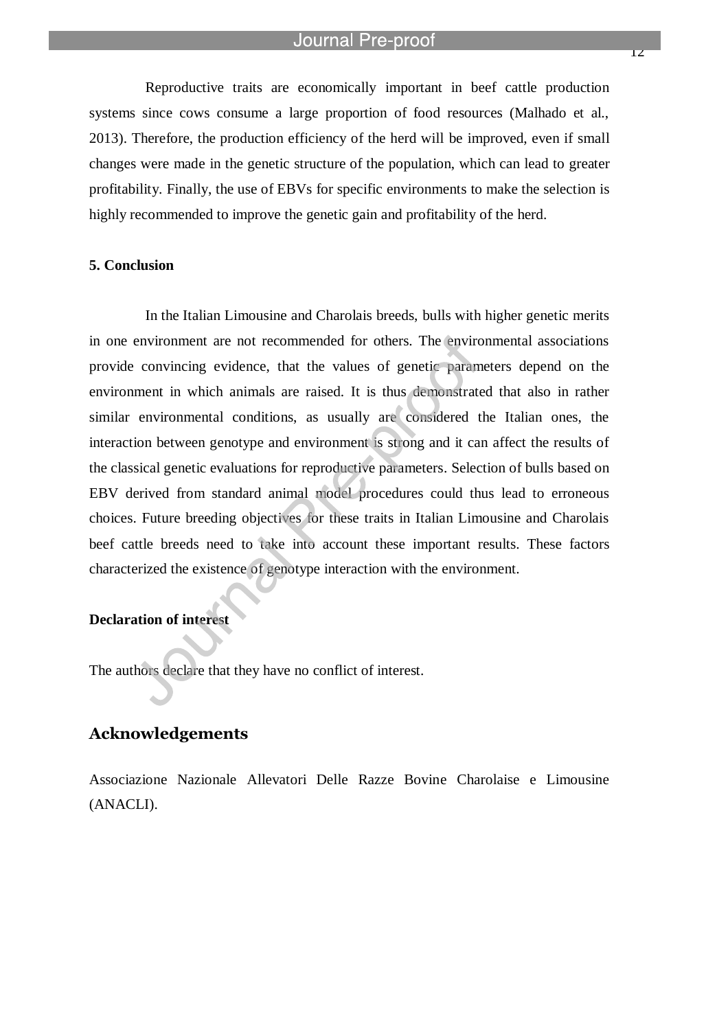l

Reproductive traits are economically important in beef cattle production systems since cows consume a large proportion of food resources (Malhado et al., 2013). Therefore, the production efficiency of the herd will be improved, even if small changes were made in the genetic structure of the population, which can lead to greater profitability. Finally, the use of EBVs for specific environments to make the selection is highly recommended to improve the genetic gain and profitability of the herd.

# **5. Conclusion**

In the Italian Limousine and Charolais breeds, bulls with higher genetic merits in one environment are not recommended for others. The environmental associations provide convincing evidence, that the values of genetic parameters depend on the environment in which animals are raised. It is thus demonstrated that also in rather similar environmental conditions, as usually are considered the Italian ones, the interaction between genotype and environment is strong and it can affect the results of the classical genetic evaluations for reproductive parameters. Selection of bulls based on EBV derived from standard animal model procedures could thus lead to erroneous choices. Future breeding objectives for these traits in Italian Limousine and Charolais beef cattle breeds need to take into account these important results. These factors characterized the existence of genotype interaction with the environment.

## **Declaration of interest**

The authors declare that they have no conflict of interest.

# **Acknowledgements**

Associazione Nazionale Allevatori Delle Razze Bovine Charolaise e Limousine (ANACLI).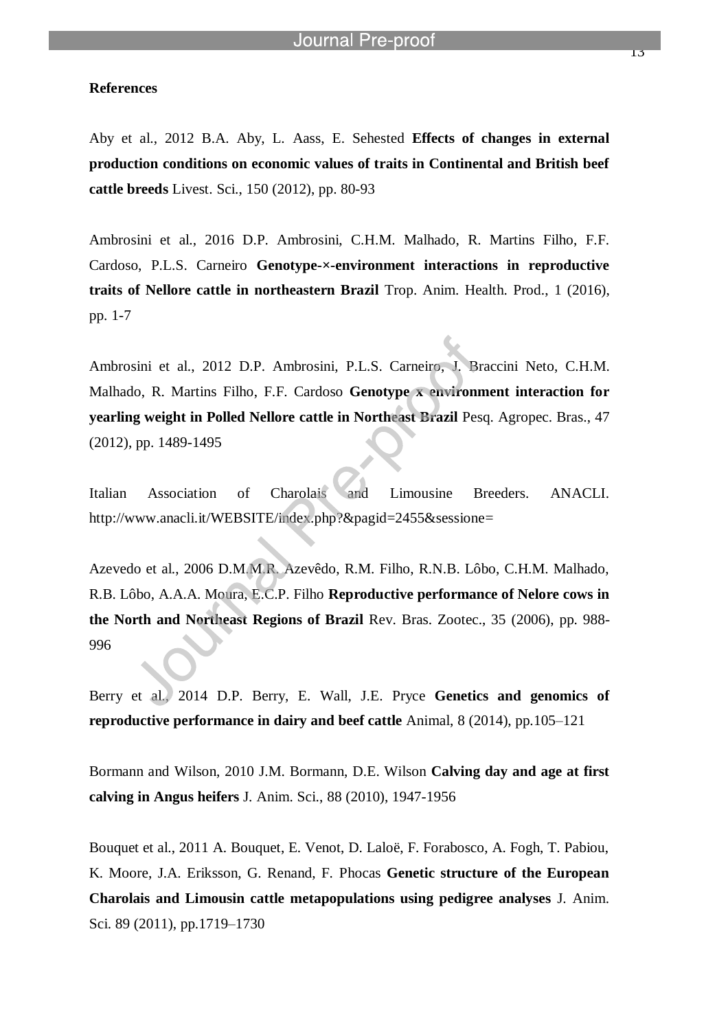#### **References**

Aby et al., 2012 B.A. Aby, L. Aass, E. Sehested **Effects of changes in external production conditions on economic values of traits in Continental and British beef cattle breeds** Livest. Sci., 150 (2012), pp. 80-93

Ambrosini et al., 2016 D.P. Ambrosini, C.H.M. Malhado, R. Martins Filho, F.F. Cardoso, P.L.S. Carneiro **Genotype-×-environment interactions in reproductive traits of Nellore cattle in northeastern Brazil** Trop. Anim. Health. Prod., 1 (2016), pp. 1-7

Ambrosini et al., 2012 D.P. Ambrosini, P.L.S. Carneiro, J. Braccini Neto, C.H.M. Malhado, R. Martins Filho, F.F. Cardoso **Genotype x environment interaction for yearling weight in Polled Nellore cattle in Northeast Brazil** Pesq. Agropec. Bras., 47 (2012), pp. 1489-1495

Italian Association of Charolais and Limousine Breeders. ANACLI. http://www.anacli.it/WEBSITE/index.php?&pagid=2455&sessione=

Azevedo et al., 2006 D.M.M.R. Azevêdo, R.M. Filho, R.N.B. Lôbo, C.H.M. Malhado, R.B. Lôbo, A.A.A. Moura, E.C.P. Filho **Reproductive performance of Nelore cows in the North and Northeast Regions of Brazil** Rev. Bras. Zootec., 35 (2006), pp. 988- 996

Berry et al., 2014 D.P. Berry, E. Wall, J.E. Pryce **Genetics and genomics of reproductive performance in dairy and beef cattle** Animal, 8 (2014), pp.105–121

Bormann and Wilson, 2010 J.M. Bormann, D.E. Wilson **Calving day and age at first calving in Angus heifers** J. Anim. Sci., 88 (2010), 1947-1956

Bouquet et al., 2011 A. Bouquet, E. Venot, D. Laloë, F. Forabosco, A. Fogh, T. Pabiou, K. Moore, J.A. Eriksson, G. Renand, F. Phocas **Genetic structure of the European Charolais and Limousin cattle metapopulations using pedigree analyses** J. Anim. Sci. 89 (2011), pp.1719–1730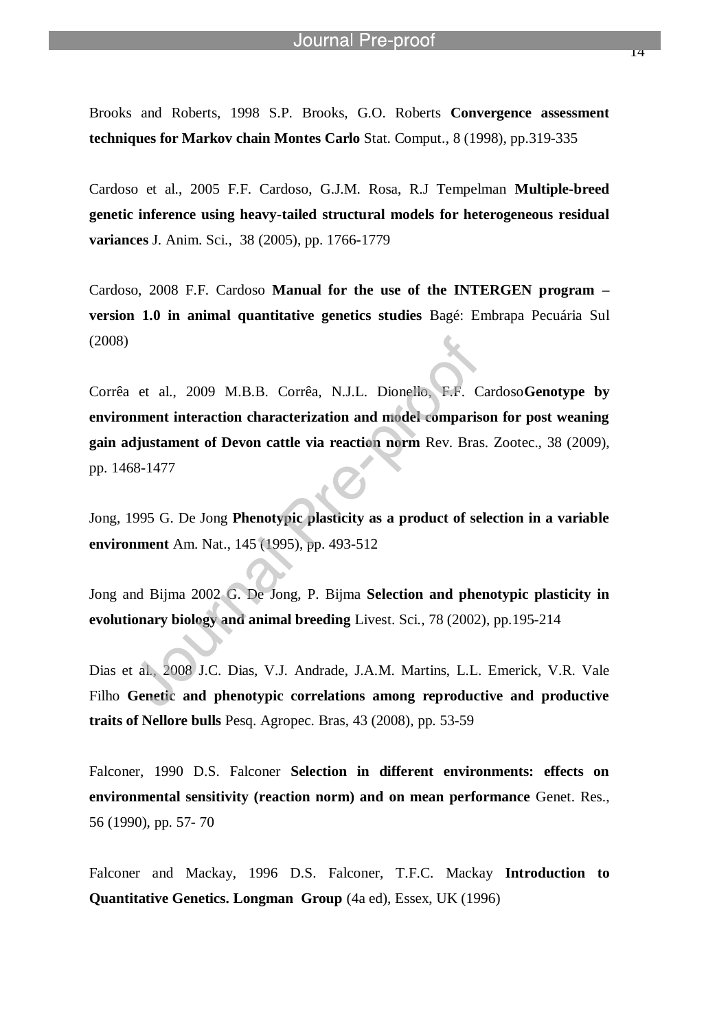Brooks and Roberts, 1998 S.P. Brooks, G.O. Roberts **Convergence assessment techniques for Markov chain Montes Carlo** Stat. Comput., 8 (1998), pp.319-335

l

Cardoso et al., 2005 F.F. Cardoso, G.J.M. Rosa, R.J Tempelman **Multiple-breed genetic inference using heavy-tailed structural models for heterogeneous residual variances** J. Anim. Sci., 38 (2005), pp. 1766-1779

Cardoso, 2008 F.F. Cardoso **Manual for the use of the INTERGEN program – version 1.0 in animal quantitative genetics studies** Bagé: Embrapa Pecuária Sul (2008)

Corrêa et al., 2009 M.B.B. Corrêa, N.J.L. Dionello, F.F. Cardoso**Genotype by environment interaction characterization and model comparison for post weaning gain adjustament of Devon cattle via reaction norm** Rev. Bras. Zootec., 38 (2009), pp. 1468-1477

Jong, 1995 G. De Jong **Phenotypic plasticity as a product of selection in a variable environment** Am. Nat., 145 (1995), pp. 493-512

Jong and Bijma 2002 G. De Jong, P. Bijma **Selection and phenotypic plasticity in evolutionary biology and animal breeding** Livest. Sci., 78 (2002), pp.195-214

Dias et al., 2008 J.C. Dias, V.J. Andrade, J.A.M. Martins, L.L. Emerick, V.R. Vale Filho **Genetic and phenotypic correlations among reproductive and productive traits of Nellore bulls** Pesq. Agropec. Bras, 43 (2008), pp. 53-59

Falconer, 1990 D.S. Falconer **Selection in different environments: effects on environmental sensitivity (reaction norm) and on mean performance** Genet. Res., 56 (1990), pp. 57- 70

Falconer and Mackay, 1996 D.S. Falconer, T.F.C. Mackay **Introduction to Quantitative Genetics. Longman Group** (4a ed), Essex, UK (1996)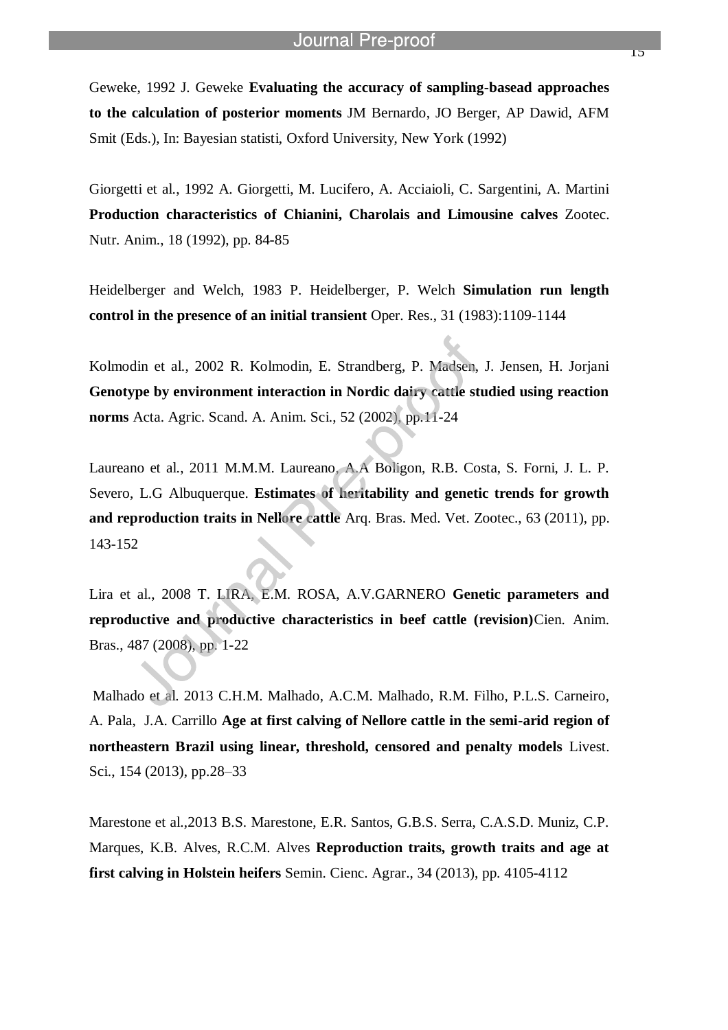Geweke, 1992 J. Geweke **Evaluating the accuracy of sampling-basead approaches to the calculation of posterior moments** JM Bernardo, JO Berger, AP Dawid, AFM Smit (Eds.), In: Bayesian statisti, Oxford University, New York (1992)

l

Giorgetti et al., 1992 A. Giorgetti, M. Lucifero, A. Acciaioli, C. Sargentini, A. Martini **Production characteristics of Chianini, Charolais and Limousine calves** Zootec. Nutr. Anim., 18 (1992), pp. 84-85

Heidelberger and Welch, 1983 P. Heidelberger, P. Welch **Simulation run length control in the presence of an initial transient** Oper. Res., 31 (1983):1109-1144

Kolmodin et al., 2002 R. Kolmodin, E. Strandberg, P. Madsen, J. Jensen, H. Jorjani **Genotype by environment interaction in Nordic dairy cattle studied using reaction norms** Acta. Agric. Scand. A. Anim. Sci., 52 (2002), pp.11-24

Laureano et al., 2011 M.M.M. Laureano, A.A Boligon, R.B. Costa, S. Forni, J. L. P. Severo, L.G Albuquerque. **Estimates of heritability and genetic trends for growth and reproduction traits in Nellore cattle** Arq. Bras. Med. Vet. Zootec., 63 (2011), pp. 143-152

Lira et al., 2008 T. LIRA, E.M. ROSA, A.V.GARNERO **Genetic parameters and reproductive and productive characteristics in beef cattle (revision)**Cien. Anim. Bras., 487 (2008), pp. 1-22

Malhado et al. 2013 C.H.M. Malhado, A.C.M. Malhado, R.M. Filho, P.L.S. Carneiro, A. Pala, J.A. Carrillo **Age at first calving of Nellore cattle in the semi-arid region of northeastern Brazil using linear, threshold, censored and penalty models** Livest. Sci., 154 (2013), pp.28–33

Marestone et al.,2013 B.S. Marestone, E.R. Santos, G.B.S. Serra, C.A.S.D. Muniz, C.P. Marques, K.B. Alves, R.C.M. Alves **Reproduction traits, growth traits and age at first calving in Holstein heifers** Semin. Cienc. Agrar., 34 (2013), pp. 4105-4112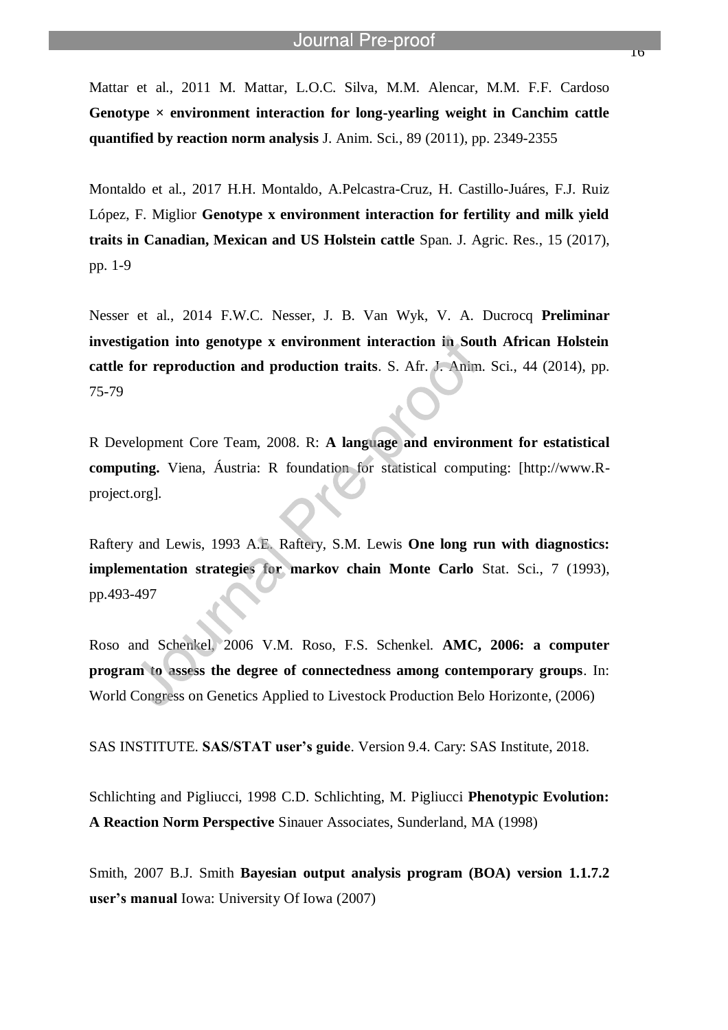Mattar et al., 2011 M. Mattar, L.O.C. Silva, M.M. Alencar, M.M. F.F. Cardoso Genotype  $\times$  environment interaction for long-yearling weight in Canchim cattle **quantified by reaction norm analysis** J. Anim. Sci., 89 (2011), pp. 2349-2355

l

Montaldo et al., 2017 H.H. Montaldo, A.Pelcastra-Cruz, H. Castillo-Juáres, F.J. Ruiz López, F. Miglior **Genotype x environment interaction for fertility and milk yield traits in Canadian, Mexican and US Holstein cattle** Span. J. Agric. Res., 15 (2017), pp. 1-9

Nesser et al., 2014 F.W.C. Nesser, J. B. Van Wyk, V. A. Ducrocq **Preliminar investigation into genotype x environment interaction in South African Holstein cattle for reproduction and production traits**. S. Afr. J. Anim. Sci., 44 (2014), pp. 75-79

R Development Core Team, 2008. R: **A language and environment for estatistical computing.** Viena, Áustria: R foundation for statistical computing: [http://www.Rproject.org].

Raftery and Lewis, 1993 A.E. Raftery, S.M. Lewis **One long run with diagnostics: implementation strategies for markov chain Monte Carlo** Stat. Sci., 7 (1993), pp.493-497

Roso and Schenkel, 2006 V.M. Roso, F.S. Schenkel. **AMC, 2006: a computer program to assess the degree of connectedness among contemporary groups**. In: World Congress on Genetics Applied to Livestock Production Belo Horizonte, (2006)

SAS INSTITUTE. **SAS/STAT user's guide**. Version 9.4. Cary: SAS Institute, 2018.

Schlichting and Pigliucci, 1998 C.D. Schlichting, M. Pigliucci **Phenotypic Evolution: A Reaction Norm Perspective** Sinauer Associates, Sunderland, MA (1998)

Smith, 2007 B.J. Smith **Bayesian output analysis program (BOA) version 1.1.7.2 user's manual** Iowa: University Of Iowa (2007)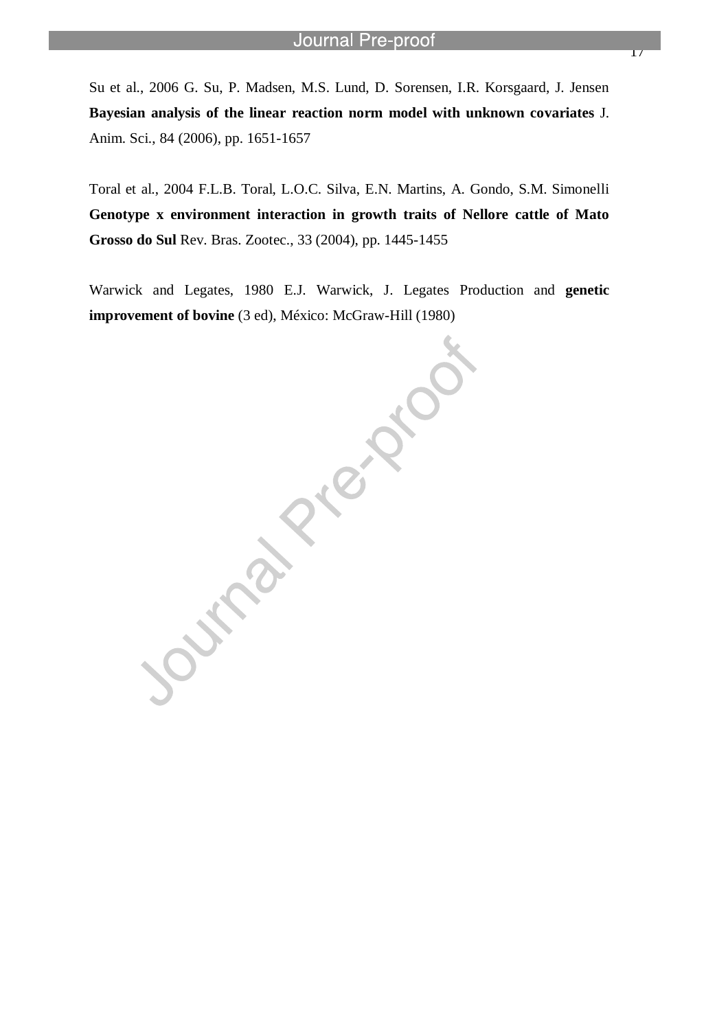Su et al., 2006 G. Su, P. Madsen, M.S. Lund, D. Sorensen, I.R. Korsgaard, J. Jensen **Bayesian analysis of the linear reaction norm model with unknown covariates** J. Anim. Sci., 84 (2006), pp. 1651-1657

l

Toral et al., 2004 F.L.B. Toral, L.O.C. Silva, E.N. Martins, A. Gondo, S.M. Simonelli **Genotype x environment interaction in growth traits of Nellore cattle of Mato Grosso do Sul** Rev. Bras. Zootec., 33 (2004), pp. 1445-1455

Warwick and Legates, 1980 E.J. Warwick, J. Legates Production and **genetic** 

**improvement of bovine** (3 ed), México: McGraw-Hill (1980)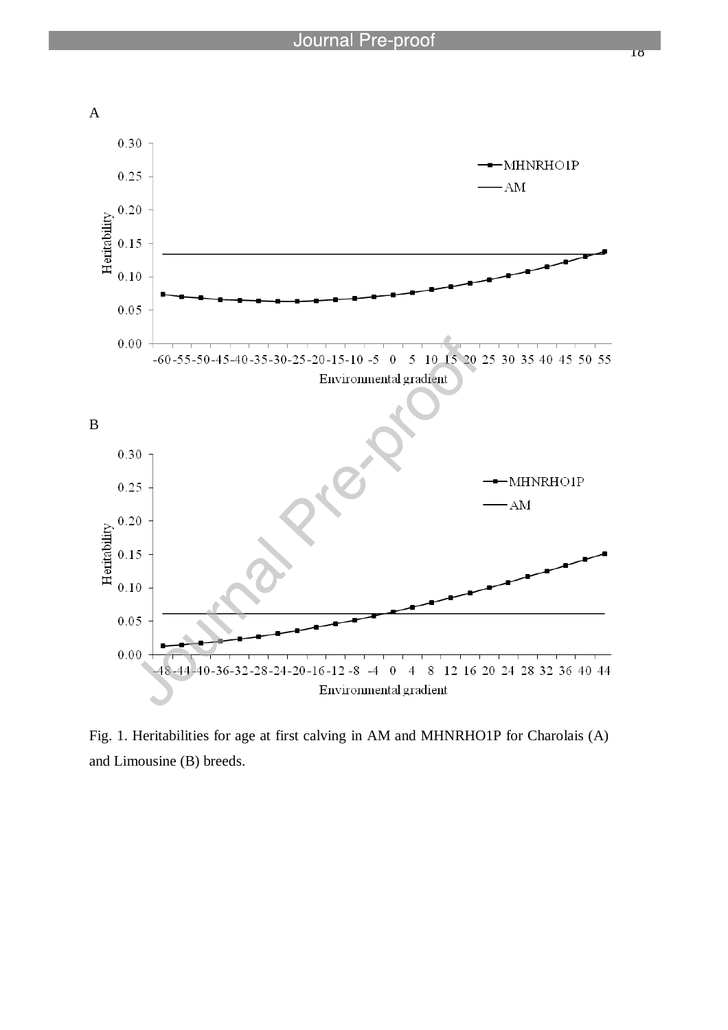

Fig. 1. Heritabilities for age at first calving in AM and MHNRHO1P for Charolais (A) and Limousine (B) breeds.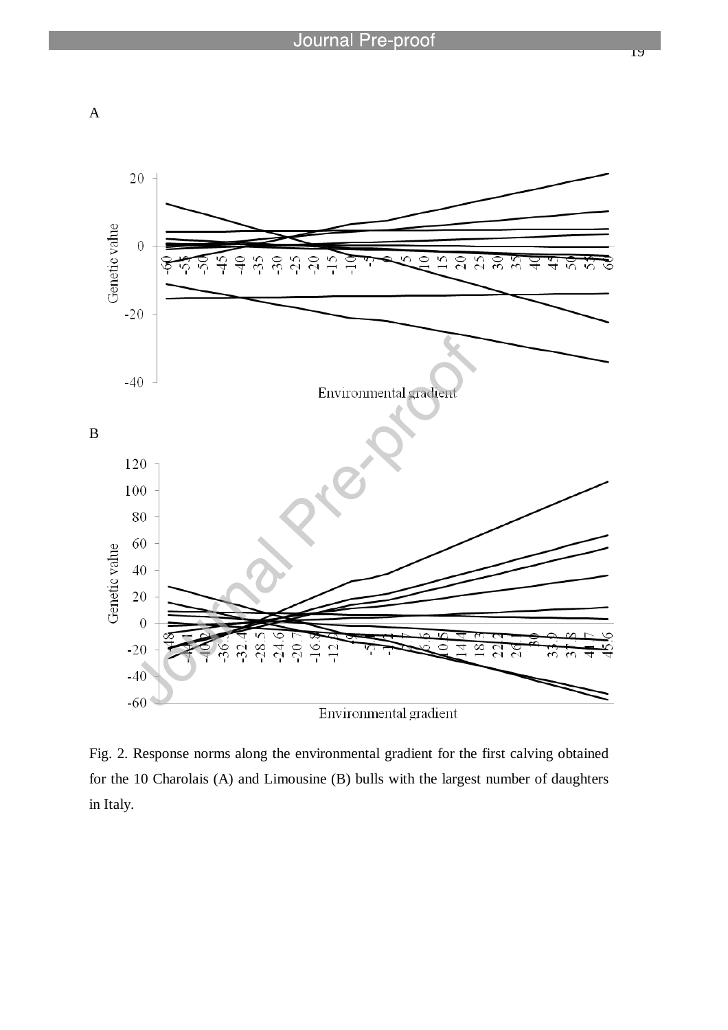



Fig. 2. Response norms along the environmental gradient for the first calving obtained for the 10 Charolais (A) and Limousine (B) bulls with the largest number of daughters in Italy.

19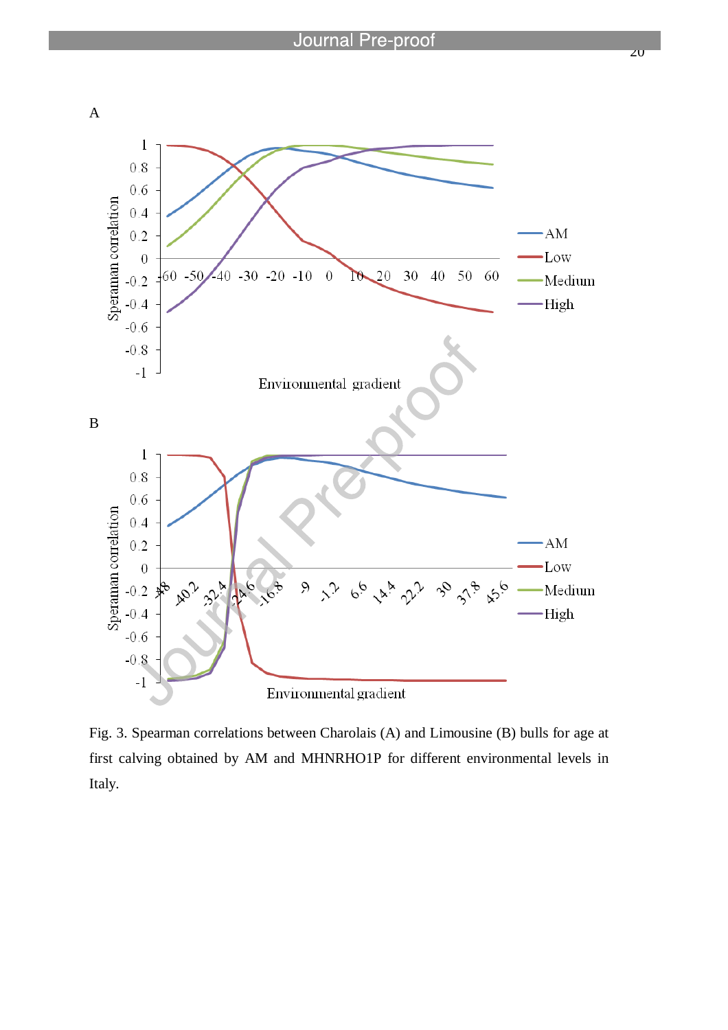

Fig. 3. Spearman correlations between Charolais (A) and Limousine (B) bulls for age at first calving obtained by AM and MHNRHO1P for different environmental levels in Italy.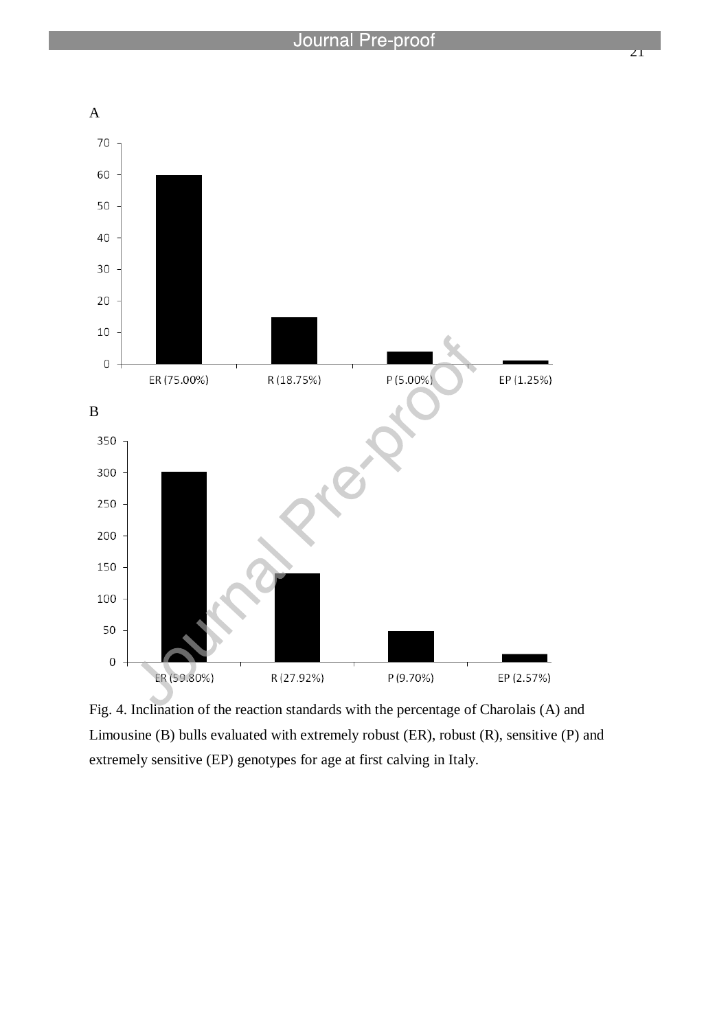

Fig. 4. Inclination of the reaction standards with the percentage of Charolais (A) and Limousine (B) bulls evaluated with extremely robust (ER), robust (R), sensitive (P) and extremely sensitive (EP) genotypes for age at first calving in Italy.